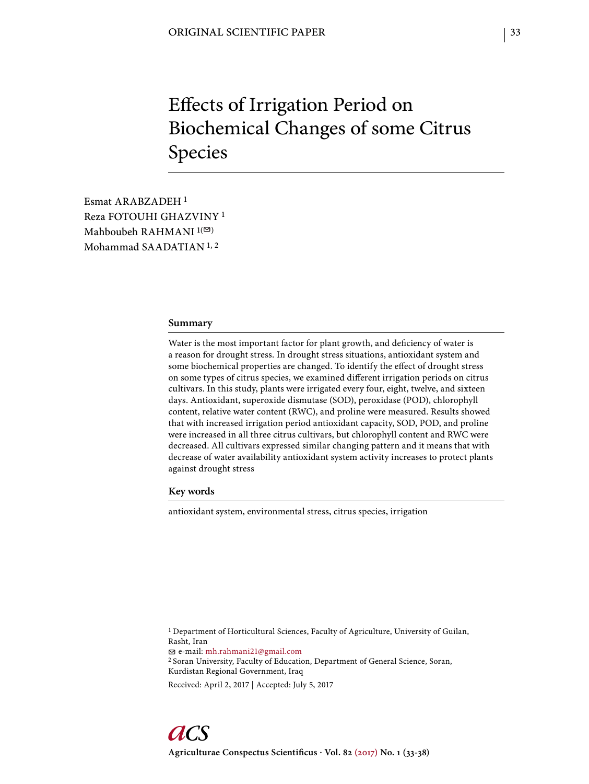# Effects of Irrigation Period on Biochemical Changes of some Citrus Species

Esmat ARABZADEH 1 Reza FOTOUHI GHAZVINY 1 Mahboubeh RAHMANI $1$ <sup>( $\odot$ )</sup> Mohammad SAADATIAN 1, 2

#### **Summary**

Water is the most important factor for plant growth, and deficiency of water is a reason for drought stress. In drought stress situations, antioxidant system and some biochemical properties are changed. To identify the effect of drought stress on some types of citrus species, we examined different irrigation periods on citrus cultivars. In this study, plants were irrigated every four, eight, twelve, and sixteen days. Antioxidant, superoxide dismutase (SOD), peroxidase (POD), chlorophyll content, relative water content (RWC), and proline were measured. Results showed that with increased irrigation period antioxidant capacity, SOD, POD, and proline were increased in all three citrus cultivars, but chlorophyll content and RWC were decreased. All cultivars expressed similar changing pattern and it means that with decrease of water availability antioxidant system activity increases to protect plants against drought stress

# **Key words**

antioxidant system, environmental stress, citrus species, irrigation

<sup>1</sup> Department of Horticultural Sciences, Faculty of Agriculture, University of Guilan, Rasht, Iran e-mail: mh.rahmani21@gmail.com 2 Soran University, Faculty of Education, Department of General Science, Soran, Kurdistan Regional Government, Iraq

Received: April 2, 2017 | Accepted: July 5, 2017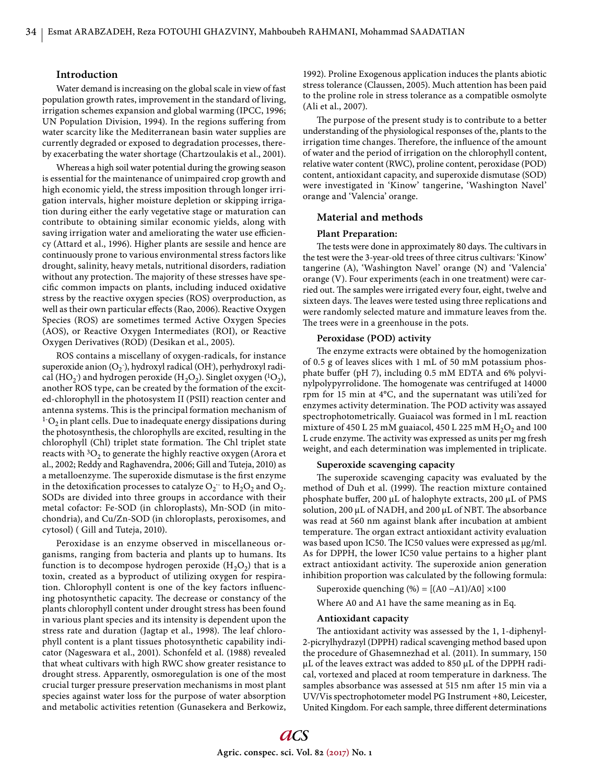# **Introduction**

Water demand is increasing on the global scale in view of fast population growth rates, improvement in the standard of living, irrigation schemes expansion and global warming (IPCC, 1996; UN Population Division, 1994). In the regions suffering from water scarcity like the Mediterranean basin water supplies are currently degraded or exposed to degradation processes, thereby exacerbating the water shortage (Chartzoulakis et al., 2001).

Whereas a high soil water potential during the growing season is essential for the maintenance of unimpaired crop growth and high economic yield, the stress imposition through longer irrigation intervals, higher moisture depletion or skipping irrigation during either the early vegetative stage or maturation can contribute to obtaining similar economic yields, along with saving irrigation water and ameliorating the water use efficiency (Attard et al., 1996). Higher plants are sessile and hence are continuously prone to various environmental stress factors like drought, salinity, heavy metals, nutritional disorders, radiation without any protection. The majority of these stresses have specific common impacts on plants, including induced oxidative stress by the reactive oxygen species (ROS) overproduction, as well as their own particular effects (Rao, 2006). Reactive Oxygen Species (ROS) are sometimes termed Active Oxygen Species (AOS), or Reactive Oxygen Intermediates (ROI), or Reactive Oxygen Derivatives (ROD) (Desikan et al., 2005).

ROS contains a miscellany of oxygen-radicals, for instance superoxide anion (O<sub>2</sub><sup>-</sup>), hydroxyl radical (OH<sup>-</sup>), perhydroxyl radical (HO<sub>2</sub>) and hydrogen peroxide (H<sub>2</sub>O<sub>2</sub>). Singlet oxygen (<sup>1</sup>O<sub>2</sub>), another ROS type, can be created by the formation of the excited-chlorophyll in the photosystem II (PSII) reaction center and antenna systems. This is the principal formation mechanism of  $1-O<sub>2</sub>$  in plant cells. Due to inadequate energy dissipations during the photosynthesis, the chlorophylls are excited, resulting in the chlorophyll (Chl) triplet state formation. The Chl triplet state reacts with  ${}^{3}O_2$  to generate the highly reactive oxygen (Arora et al., 2002; Reddy and Raghavendra, 2006; Gill and Tuteja, 2010) as a metalloenzyme. The superoxide dismutase is the first enzyme in the detoxification processes to catalyze  $\mathrm{O_2^{\cdot\cdot}}$  to  $\mathrm{H_2O_2}$  and  $\mathrm{O_2^{\cdot\cdot}}$ SODs are divided into three groups in accordance with their metal cofactor: Fe-SOD (in chloroplasts), Mn-SOD (in mitochondria), and Cu/Zn-SOD (in chloroplasts, peroxisomes, and cytosol) ( Gill and Tuteja, 2010).

Peroxidase is an enzyme observed in miscellaneous organisms, ranging from bacteria and plants up to humans. Its function is to decompose hydrogen peroxide  $(H_2O_2)$  that is a toxin, created as a byproduct of utilizing oxygen for respiration. Chlorophyll content is one of the key factors influencing photosynthetic capacity. The decrease or constancy of the plants chlorophyll content under drought stress has been found in various plant species and its intensity is dependent upon the stress rate and duration (Jagtap et al., 1998). The leaf chlorophyll content is a plant tissues photosynthetic capability indicator (Nageswara et al., 2001). Schonfeld et al. (1988) revealed that wheat cultivars with high RWC show greater resistance to drought stress. Apparently, osmoregulation is one of the most crucial turger pressure preservation mechanisms in most plant species against water loss for the purpose of water absorption and metabolic activities retention (Gunasekera and Berkowiz,

1992). Proline Exogenous application induces the plants abiotic stress tolerance (Claussen, 2005). Much attention has been paid to the proline role in stress tolerance as a compatible osmolyte (Ali et al., 2007).

The purpose of the present study is to contribute to a better understanding of the physiological responses of the, plants to the irrigation time changes. Therefore, the influence of the amount of water and the period of irrigation on the chlorophyll content, relative water content (RWC), proline content, peroxidase (POD) content, antioxidant capacity, and superoxide dismutase (SOD) were investigated in 'Kinow' tangerine, 'Washington Navel' orange and 'Valencia' orange.

# **Material and methods**

#### **Plant Preparation:**

The tests were done in approximately 80 days. The cultivars in the test were the 3-year-old trees of three citrus cultivars: 'Kinow' tangerine (A), 'Washington Navel' orange (N) and 'Valencia' orange (V). Four experiments (each in one treatment) were carried out. The samples were irrigated every four, eight, twelve and sixteen days. The leaves were tested using three replications and were randomly selected mature and immature leaves from the. The trees were in a greenhouse in the pots.

#### **Peroxidase (POD) activity**

The enzyme extracts were obtained by the homogenization of 0.5 g of leaves slices with 1 mL of 50 mM potassium phosphate buffer (pH 7), including  $0.5 \text{ mM}$  EDTA and 6% polyvinylpolypyrrolidone. The homogenate was centrifuged at 14000 rpm for 15 min at 4°C, and the supernatant was utili'zed for enzymes activity determination. The POD activity was assayed spectrophotometrically. Guaiacol was formed in l mL reaction mixture of 450 L 25 mM guaiacol, 450 L 225 mM  $H_2O_2$  and 100 L crude enzyme. The activity was expressed as units per mg fresh weight, and each determination was implemented in triplicate.

#### **Superoxide scavenging capacity**

The superoxide scavenging capacity was evaluated by the method of Duh et al. (1999). The reaction mixture contained phosphate buffer, 200 μL of halophyte extracts, 200 μL of PMS solution, 200 μL of NADH, and 200 μL of NBT. The absorbance was read at 560 nm against blank after incubation at ambient temperature. The organ extract antioxidant activity evaluation was based upon IC50. The IC50 values were expressed as μg/ml. As for DPPH, the lower IC50 value pertains to a higher plant extract antioxidant activity. The superoxide anion generation inhibition proportion was calculated by the following formula:

Superoxide quenching  $% = [(A0 - A1)/A0] \times 100$ 

Where A0 and A1 have the same meaning as in Eq.

# **Antioxidant capacity**

The antioxidant activity was assessed by the 1, 1-diphenyl-2-picrylhydrazyl (DPPH) radical scavenging method based upon the procedure of Ghasemnezhad et al. (2011). In summary, 150 μL of the leaves extract was added to 850 μL of the DPPH radical, vortexed and placed at room temperature in darkness. The samples absorbance was assessed at 515 nm after 15 min via a UV/Vis spectrophotometer model PG Instrument +80, Leicester, United Kingdom. For each sample, three different determinations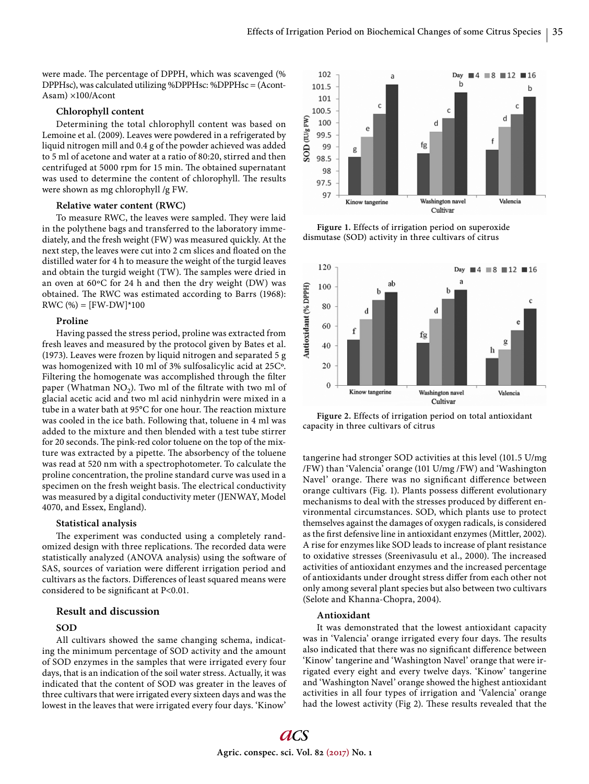were made. The percentage of DPPH, which was scavenged (%) DPPHsc), was calculated utilizing %DPPHsc: %DPPHsc = (Acont-Asam) ×100/Acont

#### **Chlorophyll content**

Determining the total chlorophyll content was based on Lemoine et al. (2009). Leaves were powdered in a refrigerated by liquid nitrogen mill and 0.4 g of the powder achieved was added to 5 ml of acetone and water at a ratio of 80:20, stirred and then centrifuged at 5000 rpm for 15 min. The obtained supernatant was used to determine the content of chlorophyll. The results were shown as mg chlorophyll /g FW.

# **Relative water content (RWC)**

To measure RWC, the leaves were sampled. They were laid in the polythene bags and transferred to the laboratory immediately, and the fresh weight (FW) was measured quickly. At the next step, the leaves were cut into 2 cm slices and floated on the distilled water for 4 h to measure the weight of the turgid leaves and obtain the turgid weight (TW). The samples were dried in an oven at 60ºC for 24 h and then the dry weight (DW) was obtained. The RWC was estimated according to Barrs (1968):  $RWC$  (%) = [FW-DW]\*100

# **Proline**

Having passed the stress period, proline was extracted from fresh leaves and measured by the protocol given by Bates et al. (1973). Leaves were frozen by liquid nitrogen and separated 5 g was homogenized with 10 ml of 3% sulfosalicylic acid at 25Cº. Filtering the homogenate was accomplished through the filter paper (Whatman  $NO<sub>2</sub>$ ). Two ml of the filtrate with two ml of glacial acetic acid and two ml acid ninhydrin were mixed in a tube in a water bath at 95°C for one hour. The reaction mixture was cooled in the ice bath. Following that, toluene in 4 ml was added to the mixture and then blended with a test tube stirrer for 20 seconds. The pink-red color toluene on the top of the mixture was extracted by a pipette. The absorbency of the toluene was read at 520 nm with a spectrophotometer. To calculate the proline concentration, the proline standard curve was used in a specimen on the fresh weight basis. The electrical conductivity was measured by a digital conductivity meter (JENWAY, Model 4070, and Essex, England).

#### **Statistical analysis**

The experiment was conducted using a completely randomized design with three replications. The recorded data were statistically analyzed (ANOVA analysis) using the software of SAS, sources of variation were different irrigation period and cultivars as the factors. Differences of least squared means were considered to be significant at  $P<0.01$ .

# **Result and discussion**

## **SOD**

All cultivars showed the same changing schema, indicating the minimum percentage of SOD activity and the amount of SOD enzymes in the samples that were irrigated every four days, that is an indication of the soil water stress. Actually, it was indicated that the content of SOD was greater in the leaves of three cultivars that were irrigated every sixteen days and was the lowest in the leaves that were irrigated every four days. 'Kinow'



**Figure 1.** Effects of irrigation period on superoxide dismutase (SOD) activity in three cultivars of citrus



**Figure 2.** Effects of irrigation period on total antioxidant capacity in three cultivars of citrus

tangerine had stronger SOD activities at this level (101.5 U/mg /FW) than 'Valencia' orange (101 U/mg /FW) and 'Washington Navel' orange. There was no significant difference between orange cultivars (Fig. 1). Plants possess different evolutionary mechanisms to deal with the stresses produced by different environmental circumstances. SOD, which plants use to protect themselves against the damages of oxygen radicals, is considered as the first defensive line in antioxidant enzymes (Mittler, 2002). A rise for enzymes like SOD leads to increase of plant resistance to oxidative stresses (Sreenivasulu et al., 2000). The increased activities of antioxidant enzymes and the increased percentage of antioxidants under drought stress differ from each other not only among several plant species but also between two cultivars (Selote and Khanna-Chopra, 2004).

# **Antioxidant**

It was demonstrated that the lowest antioxidant capacity was in 'Valencia' orange irrigated every four days. The results also indicated that there was no significant difference between 'Kinow' tangerine and 'Washington Navel' orange that were irrigated every eight and every twelve days. 'Kinow' tangerine and 'Washington Navel' orange showed the highest antioxidant activities in all four types of irrigation and 'Valencia' orange had the lowest activity (Fig 2). These results revealed that the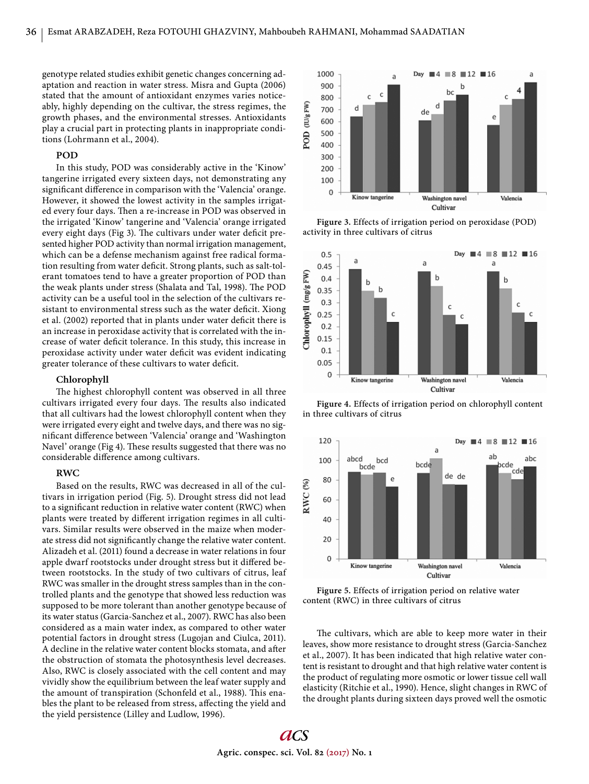genotype related studies exhibit genetic changes concerning adaptation and reaction in water stress. Misra and Gupta (2006) stated that the amount of antioxidant enzymes varies noticeably, highly depending on the cultivar, the stress regimes, the growth phases, and the environmental stresses. Antioxidants play a crucial part in protecting plants in inappropriate conditions (Lohrmann et al., 2004).

# **POD**

In this study, POD was considerably active in the 'Kinow' tangerine irrigated every sixteen days, not demonstrating any significant difference in comparison with the 'Valencia' orange. However, it showed the lowest activity in the samples irrigated every four days. Then a re-increase in POD was observed in the irrigated 'Kinow' tangerine and 'Valencia' orange irrigated every eight days (Fig 3). The cultivars under water deficit presented higher POD activity than normal irrigation management, which can be a defense mechanism against free radical formation resulting from water deficit. Strong plants, such as salt-tolerant tomatoes tend to have a greater proportion of POD than the weak plants under stress (Shalata and Tal, 1998). The POD activity can be a useful tool in the selection of the cultivars resistant to environmental stress such as the water deficit. Xiong et al. (2002) reported that in plants under water deficit there is an increase in peroxidase activity that is correlated with the increase of water deficit tolerance. In this study, this increase in peroxidase activity under water deficit was evident indicating greater tolerance of these cultivars to water deficit.

# **Chlorophyll**

The highest chlorophyll content was observed in all three cultivars irrigated every four days. The results also indicated that all cultivars had the lowest chlorophyll content when they were irrigated every eight and twelve days, and there was no significant difference between 'Valencia' orange and 'Washington Navel' orange (Fig 4). These results suggested that there was no considerable difference among cultivars.

#### **RWC**

Based on the results, RWC was decreased in all of the cultivars in irrigation period (Fig. 5). Drought stress did not lead to a significant reduction in relative water content (RWC) when plants were treated by different irrigation regimes in all cultivars. Similar results were observed in the maize when moderate stress did not significantly change the relative water content. Alizadeh et al. (2011) found a decrease in water relations in four apple dwarf rootstocks under drought stress but it differed between rootstocks. In the study of two cultivars of citrus, leaf RWC was smaller in the drought stress samples than in the controlled plants and the genotype that showed less reduction was supposed to be more tolerant than another genotype because of its water status (Garcia-Sanchez et al., 2007). RWC has also been considered as a main water index, as compared to other water potential factors in drought stress (Lugojan and Ciulca, 2011). A decline in the relative water content blocks stomata, and after the obstruction of stomata the photosynthesis level decreases. Also, RWC is closely associated with the cell content and may vividly show the equilibrium between the leaf water supply and the amount of transpiration (Schonfeld et al., 1988). This enables the plant to be released from stress, affecting the yield and the yield persistence (Lilley and Ludlow, 1996).



**Figure 3.** Effects of irrigation period on peroxidase (POD) activity in three cultivars of citrus



**Figure 4.** Effects of irrigation period on chlorophyll content in three cultivars of citrus



**Figure 5.** Effects of irrigation period on relative water content (RWC) in three cultivars of citrus

The cultivars, which are able to keep more water in their leaves, show more resistance to drought stress (Garcia-Sanchez et al., 2007). It has been indicated that high relative water content is resistant to drought and that high relative water content is the product of regulating more osmotic or lower tissue cell wall elasticity (Ritchie et al., 1990). Hence, slight changes in RWC of the drought plants during sixteen days proved well the osmotic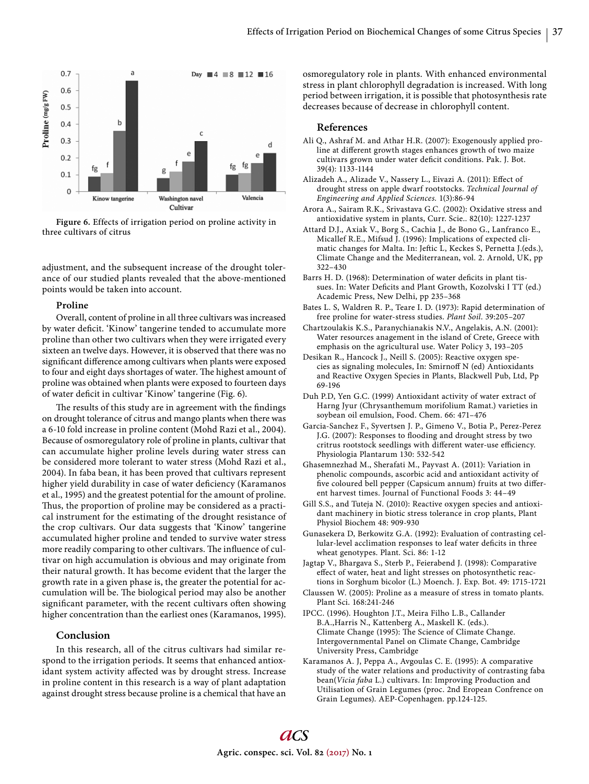

**Figure 6.** Effects of irrigation period on proline activity in three cultivars of citrus

adjustment, and the subsequent increase of the drought tolerance of our studied plants revealed that the above-mentioned points would be taken into account.

#### **Proline**

Overall, content of proline in all three cultivars was increased by water deficit. 'Kinow' tangerine tended to accumulate more proline than other two cultivars when they were irrigated every sixteen an twelve days. However, it is observed that there was no significant difference among cultivars when plants were exposed to four and eight days shortages of water. The highest amount of proline was obtained when plants were exposed to fourteen days of water deficit in cultivar 'Kinow' tangerine (Fig. 6).

The results of this study are in agreement with the findings on drought tolerance of citrus and mango plants when there was a 6-10 fold increase in proline content (Mohd Razi et al., 2004). Because of osmoregulatory role of proline in plants, cultivar that can accumulate higher proline levels during water stress can be considered more tolerant to water stress (Mohd Razi et al., 2004). In faba bean, it has been proved that cultivars represent higher yield durability in case of water deficiency (Karamanos et al., 1995) and the greatest potential for the amount of proline. Thus, the proportion of proline may be considered as a practical instrument for the estimating of the drought resistance of the crop cultivars. Our data suggests that 'Kinow' tangerine accumulated higher proline and tended to survive water stress more readily comparing to other cultivars. The influence of cultivar on high accumulation is obvious and may originate from their natural growth. It has become evident that the larger the growth rate in a given phase is, the greater the potential for accumulation will be. The biological period may also be another significant parameter, with the recent cultivars often showing higher concentration than the earliest ones (Karamanos, 1995).

# **Conclusion**

In this research, all of the citrus cultivars had similar respond to the irrigation periods. It seems that enhanced antioxidant system activity affected was by drought stress. Increase in proline content in this research is a way of plant adaptation against drought stress because proline is a chemical that have an osmoregulatory role in plants. With enhanced environmental stress in plant chlorophyll degradation is increased. With long period between irrigation, it is possible that photosynthesis rate decreases because of decrease in chlorophyll content.

#### **References**

- Ali Q., Ashraf M. and Athar H.R. (2007): Exogenously applied proline at different growth stages enhances growth of two maize cultivars grown under water deficit conditions. Pak. J. Bot. 39(4): 1133-1144
- Alizadeh A., Alizade V., Nassery L., Eivazi A. (2011): Effect of drought stress on apple dwarf rootstocks. *Technical Journal of Engineering and Applied Sciences.* 1(3):86-94
- Arora A., Sairam R.K., Srivastava G.C. (2002): Oxidative stress and antioxidative system in plants, Curr. Scie.. 82(10): 1227-1237
- Attard D.J., Axiak V., Borg S., Cachia J., de Bono G., Lanfranco E., Micallef R.E., Mifsud J. (1996): Implications of expected climatic changes for Malta. In: Jeftic L, Keckes S, Pernetta J.(eds.), Climate Change and the Mediterranean, vol. 2. Arnold, UK, pp 322–430
- Barrs H. D. (1968): Determination of water deficits in plant tissues. In: Water Deficits and Plant Growth, Kozolvski I TT (ed.) Academic Press, New Delhi, pp 235–368
- Bates L. S, Waldren R. P., Teare I. D. (1973): Rapid determination of free proline for water-stress studies. *Plant Soil*. 39:205–207
- Chartzoulakis K.S., Paranychianakis N.V., Angelakis, A.N. (2001): Water resources anagement in the island of Crete, Greece with emphasis on the agricultural use. Water Policy 3, 193–205
- Desikan R., Hancock J., Neill S. (2005): Reactive oxygen species as signaling molecules, In: Smirnoff N (ed) Antioxidants and Reactive Oxygen Species in Plants, Blackwell Pub, Ltd, Pp 69-196
- Duh P.D, Yen G.C. (1999) Antioxidant activity of water extract of Harng Jyur (Chrysanthemum morifolium Ramat.) varieties in soybean oil emulsion, Food. Chem. 66: 471–476
- Garcia-Sanchez F., Syvertsen J. P., Gimeno V., Botia P., Perez-Perez J.G. (2007): Responses to flooding and drought stress by two critrus rootstock seedlings with different water-use efficiency. Physiologia Plantarum 130: 532-542
- Ghasemnezhad M., Sherafati M., Payvast A. (2011): Variation in phenolic compounds, ascorbic acid and antioxidant activity of five coloured bell pepper (Capsicum annum) fruits at two different harvest times. Journal of Functional Foods 3: 44–49
- Gill S.S., and Tuteja N. (2010): Reactive oxygen species and antioxidant machinery in biotic stress tolerance in crop plants, Plant Physiol Biochem 48: 909-930
- Gunasekera D, Berkowitz G.A. (1992): Evaluation of contrasting cellular-level acclimation responses to leaf water deficits in three wheat genotypes. Plant. Sci. 86: 1-12
- Jagtap V., Bhargava S., Sterb P., Feierabend J. (1998): Comparative effect of water, heat and light stresses on photosynthetic reactions in Sorghum bicolor (L.) Moench. J. Exp. Bot. 49: 1715-1721
- Claussen W. (2005): Proline as a measure of stress in tomato plants. Plant Sci. 168:241-246
- IPCC. (1996). Houghton J.T., Meira Filho L.B., Callander B.A.,Harris N., Kattenberg A., Maskell K. (eds.). Climate Change (1995): The Science of Climate Change. Intergovernmental Panel on Climate Change, Cambridge University Press, Cambridge
- Karamanos A. J, Peppa A., Avgoulas C. E. (1995): A comparative study of the water relations and productivity of contrasting faba bean(*Vicia faba* L.) cultivars. In: Improving Production and Utilisation of Grain Legumes (proc. 2nd Eropean Confrence on Grain Legumes). AEP-Copenhagen. pp.124-125.